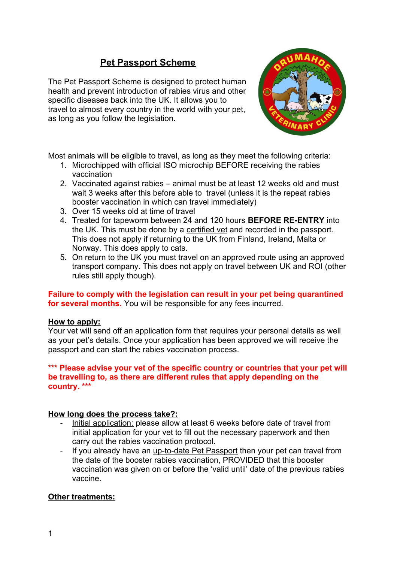# **Pet Passport Scheme**

The Pet Passport Scheme is designed to protect human health and prevent introduction of rabies virus and other specific diseases back into the UK. It allows you to travel to almost every country in the world with your pet, as long as you follow the legislation.



Most animals will be eligible to travel, as long as they meet the following criteria:

- 1. Microchipped with official ISO microchip BEFORE receiving the rabies vaccination
- 2. Vaccinated against rabies animal must be at least 12 weeks old and must wait 3 weeks after this before able to travel (unless it is the repeat rabies booster vaccination in which can travel immediately)
- 3. Over 15 weeks old at time of travel
- 4. Treated for tapeworm between 24 and 120 hours **BEFORE RE-ENTRY** into the UK. This must be done by a certified vet and recorded in the passport. This does not apply if returning to the UK from Finland, Ireland, Malta or Norway. This does apply to cats.
- 5. On return to the UK you must travel on an approved route using an approved transport company. This does not apply on travel between UK and ROI (other rules still apply though).

**Failure to comply with the legislation can result in your pet being quarantined for several months.** You will be responsible for any fees incurred.

## **How to apply:**

Your vet will send off an application form that requires your personal details as well as your pet's details. Once your application has been approved we will receive the passport and can start the rabies vaccination process.

#### **\*\*\* Please advise your vet of the specific country or countries that your pet will be travelling to, as there are different rules that apply depending on the country. \*\*\***

## **How long does the process take?:**

- Initial application: please allow at least 6 weeks before date of travel from initial application for your vet to fill out the necessary paperwork and then carry out the rabies vaccination protocol.
- If you already have an up-to-date Pet Passport then your pet can travel from the date of the booster rabies vaccination, PROVIDED that this booster vaccination was given on or before the 'valid until' date of the previous rabies vaccine.

# **Other treatments:**